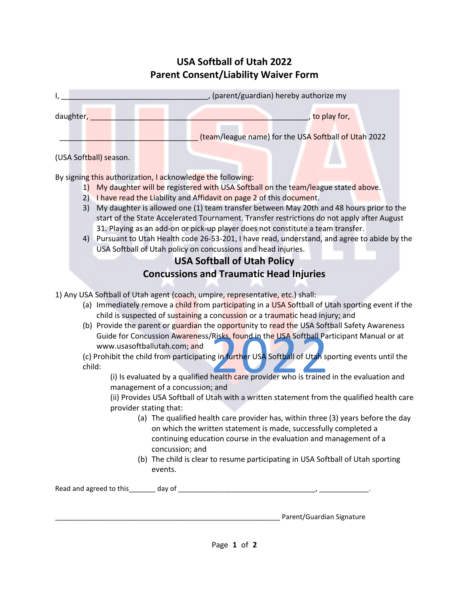## **USA Softball of Utah 2022 Parent Consent/Liability Waiver Form**

| ١,                                                                                                                                                                                                                                                                                                                                                                                                                                                                                                                                                                                                                                                                                                                                                                                                                                                                                                                                                                                                                                                                                                                                                                                                                       | , (parent/guardian) hereby authorize my                                                                                                                                                                                                                                                                                                                                                                                                                                                                                                                                                                                                         |
|--------------------------------------------------------------------------------------------------------------------------------------------------------------------------------------------------------------------------------------------------------------------------------------------------------------------------------------------------------------------------------------------------------------------------------------------------------------------------------------------------------------------------------------------------------------------------------------------------------------------------------------------------------------------------------------------------------------------------------------------------------------------------------------------------------------------------------------------------------------------------------------------------------------------------------------------------------------------------------------------------------------------------------------------------------------------------------------------------------------------------------------------------------------------------------------------------------------------------|-------------------------------------------------------------------------------------------------------------------------------------------------------------------------------------------------------------------------------------------------------------------------------------------------------------------------------------------------------------------------------------------------------------------------------------------------------------------------------------------------------------------------------------------------------------------------------------------------------------------------------------------------|
| daughter,                                                                                                                                                                                                                                                                                                                                                                                                                                                                                                                                                                                                                                                                                                                                                                                                                                                                                                                                                                                                                                                                                                                                                                                                                | , to play for,                                                                                                                                                                                                                                                                                                                                                                                                                                                                                                                                                                                                                                  |
|                                                                                                                                                                                                                                                                                                                                                                                                                                                                                                                                                                                                                                                                                                                                                                                                                                                                                                                                                                                                                                                                                                                                                                                                                          | (team/league name) for the USA Softball of Utah 2022                                                                                                                                                                                                                                                                                                                                                                                                                                                                                                                                                                                            |
| (USA Softball) season.                                                                                                                                                                                                                                                                                                                                                                                                                                                                                                                                                                                                                                                                                                                                                                                                                                                                                                                                                                                                                                                                                                                                                                                                   |                                                                                                                                                                                                                                                                                                                                                                                                                                                                                                                                                                                                                                                 |
| By signing this authorization, I acknowledge the following:<br>1)<br>3)                                                                                                                                                                                                                                                                                                                                                                                                                                                                                                                                                                                                                                                                                                                                                                                                                                                                                                                                                                                                                                                                                                                                                  | My daughter will be registered with USA Softball on the team/league stated above.<br>2) I have read the Liability and Affidavit on page 2 of this document.<br>My daughter is allowed one (1) team transfer between May 20th and 48 hours prior to the<br>start of the State Accelerated Tournament. Transfer restrictions do not apply after August<br>31. Playing as an add-on or pick-up player does not constitute a team transfer.<br>4) Pursuant to Utah Health code 26-53-201, I have read, understand, and agree to abide by the<br>USA Softball of Utah policy on concussions and head injuries.<br><b>USA Softball of Utah Policy</b> |
|                                                                                                                                                                                                                                                                                                                                                                                                                                                                                                                                                                                                                                                                                                                                                                                                                                                                                                                                                                                                                                                                                                                                                                                                                          | <b>Concussions and Traumatic Head Injuries</b>                                                                                                                                                                                                                                                                                                                                                                                                                                                                                                                                                                                                  |
| 1) Any USA Softball of Utah agent (coach, umpire, representative, etc.) shall:<br>(a) Immediately remove a child from participating in a USA Softball of Utah sporting event if the<br>child is suspected of sustaining a concussion or a traumatic head injury; and<br>(b) Provide the parent or guardian the opportunity to read the USA Softball Safety Awareness<br>Guide for Concussion Awareness/Risks, found in the USA Softball Participant Manual or at<br>www.usasoftballutah.com; and<br>(c) Prohibit the child from participating in further USA Softball of Utah sporting events until the<br>child:<br>(i) Is evaluated by a qualified health care provider who is trained in the evaluation and<br>management of a concussion; and<br>(ii) Provides USA Softball of Utah with a written statement from the qualified health care<br>provider stating that:<br>(a) The qualified health care provider has, within three (3) years before the day<br>on which the written statement is made, successfully completed a<br>continuing education course in the evaluation and management of a<br>concussion; and<br>(b) The child is clear to resume participating in USA Softball of Utah sporting<br>events. |                                                                                                                                                                                                                                                                                                                                                                                                                                                                                                                                                                                                                                                 |
|                                                                                                                                                                                                                                                                                                                                                                                                                                                                                                                                                                                                                                                                                                                                                                                                                                                                                                                                                                                                                                                                                                                                                                                                                          |                                                                                                                                                                                                                                                                                                                                                                                                                                                                                                                                                                                                                                                 |
|                                                                                                                                                                                                                                                                                                                                                                                                                                                                                                                                                                                                                                                                                                                                                                                                                                                                                                                                                                                                                                                                                                                                                                                                                          | Parent/Guardian Signature                                                                                                                                                                                                                                                                                                                                                                                                                                                                                                                                                                                                                       |